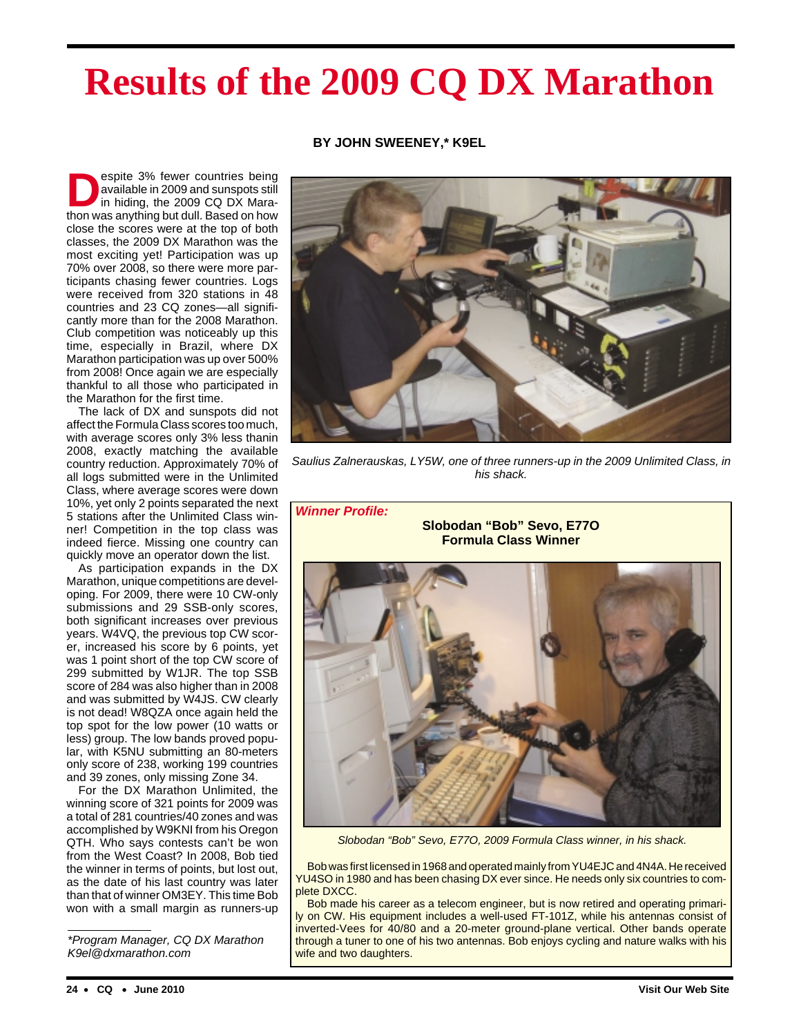# **Results of the 2009 CQ DX Marathon**

# **BY JOHN SWEENEY,\* K9EL**

**Despite 3% fewer countries being**<br>available in 2009 and sunspots still<br>in hiding, the 2009 CQ DX Maraavailable in 2009 and sunspots still thon was anything but dull. Based on how close the scores were at the top of both classes, the 2009 DX Marathon was the most exciting yet! Participation was up 70% over 2008, so there were more participants chasing fewer countries. Logs were received from 320 stations in 48 countries and 23 CQ zones—all significantly more than for the 2008 Marathon. Club competition was noticeably up this time, especially in Brazil, where DX Marathon participation was up over 500% from 2008! Once again we are especially thankful to all those who participated in the Marathon for the first time.

The lack of DX and sunspots did not affect the Formula Class scores too much, with average scores only 3% less thanin 2008, exactly matching the available country reduction. Approximately 70% of all logs submitted were in the Unlimited Class, where average scores were down 10%, yet only 2 points separated the next 5 stations after the Unlimited Class winner! Competition in the top class was indeed fierce. Missing one country can quickly move an operator down the list.

As participation expands in the DX Marathon, unique competitions are developing. For 2009, there were 10 CW-only submissions and 29 SSB-only scores, both significant increases over previous years. W4VQ, the previous top CW scorer, increased his score by 6 points, yet was 1 point short of the top CW score of 299 submitted by W1JR. The top SSB score of 284 was also higher than in 2008 and was submitted by W4JS. CW clearly is not dead! W8QZA once again held the top spot for the low power (10 watts or less) group. The low bands proved popular, with K5NU submitting an 80-meters only score of 238, working 199 countries and 39 zones, only missing Zone 34.

For the DX Marathon Unlimited, the winning score of 321 points for 2009 was a total of 281 countries/40 zones and was accomplished by W9KNI from his Oregon QTH. Who says contests can't be won from the West Coast? In 2008, Bob tied the winner in terms of points, but lost out, as the date of his last country was later than that of winner OM3EY. This time Bob won with a small margin as runners-up

\*Program Manager, CQ DX Marathon K9el@dxmarathon.com



Saulius Zalnerauskas, LY5W, one of three runners-up in the 2009 Unlimited Class, in his shack.



Slobodan "Bob" Sevo, E77O, 2009 Formula Class winner, in his shack.

Bob was first licensed in 1968 and operated mainly from YU4EJC and 4N4A. He received YU4SO in 1980 and has been chasing DX ever since. He needs only six countries to complete DXCC.

Bob made his career as a telecom engineer, but is now retired and operating primarily on CW. His equipment includes a well-used FT-101Z, while his antennas consist of inverted-Vees for 40/80 and a 20-meter ground-plane vertical. Other bands operate through a tuner to one of his two antennas. Bob enjoys cycling and nature walks with his wife and two daughters.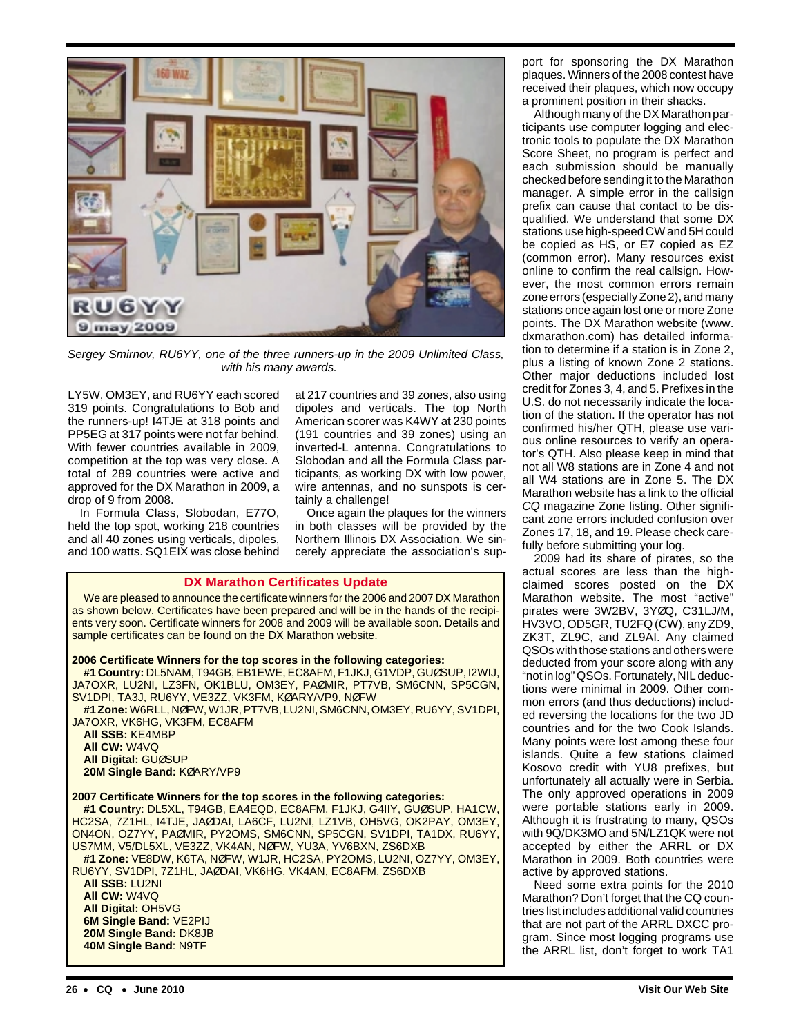

Sergey Smirnov, RU6YY, one of the three runners-up in the 2009 Unlimited Class, with his many awards.

LY5W, OM3EY, and RU6YY each scored 319 points. Congratulations to Bob and the runners-up! I4TJE at 318 points and PP5EG at 317 points were not far behind. With fewer countries available in 2009, competition at the top was very close. A total of 289 countries were active and approved for the DX Marathon in 2009, a drop of 9 from 2008.

In Formula Class, Slobodan, E77O, held the top spot, working 218 countries and all 40 zones using verticals, dipoles, and 100 watts. SQ1EIX was close behind at 217 countries and 39 zones, also using dipoles and verticals. The top North American scorer was K4WY at 230 points (191 countries and 39 zones) using an inverted-L antenna. Congratulations to Slobodan and all the Formula Class participants, as working DX with low power, wire antennas, and no sunspots is certainly a challenge!

Once again the plaques for the winners in both classes will be provided by the Northern Illinois DX Association. We sincerely appreciate the association's sup-

## **DX Marathon Certificates Update**

We are pleased to announce the certificate winners for the 2006 and 2007 DX Marathon as shown below. Certificates have been prepared and will be in the hands of the recipients very soon. Certificate winners for 2008 and 2009 will be available soon. Details and sample certificates can be found on the DX Marathon website.

## **2006 Certificate Winners for the top scores in the following categories:**

**#1 Country:** DL5NAM, T94GB, EB1EWE, EC8AFM, F1JKJ, G1VDP, GUØSUP, I2WIJ, JA7OXR, LU2NI, LZ3FN, OK1BLU, OM3EY, PAØMIR, PT7VB, SM6CNN, SP5CGN, SV1DPI, TA3J, RU6YY, VE3ZZ, VK3FM, KØARY/VP9, NØFW

**#1 Zone:**W6RLL, NØFW, W1JR, PT7VB, LU2NI, SM6CNN, OM3EY, RU6YY, SV1DPI, JA7OXR, VK6HG, VK3FM, EC8AFM

**All SSB:** KE4MBP **All CW:** W4VQ **All Digital:** GUØSUP **20M Single Band:** KØARY/VP9

## **2007 Certificate Winners for the top scores in the following categories:**

**#1 Countr**y: DL5XL, T94GB, EA4EQD, EC8AFM, F1JKJ, G4IIY, GUØSUP, HA1CW, HC2SA, 7Z1HL, I4TJE, JAØDAI, LA6CF, LU2NI, LZ1VB, OH5VG, OK2PAY, OM3EY, ON4ON, OZ7YY, PAØMIR, PY2OMS, SM6CNN, SP5CGN, SV1DPI, TA1DX, RU6YY, US7MM, V5/DL5XL, VE3ZZ, VK4AN, NØFW, YU3A, YV6BXN, ZS6DXB

**#1 Zone:** VE8DW, K6TA, NØFW, W1JR, HC2SA, PY2OMS, LU2NI, OZ7YY, OM3EY, RU6YY, SV1DPI, 7Z1HL, JAØDAI, VK6HG, VK4AN, EC8AFM, ZS6DXB

**All SSB:** LU2NI **All CW:** W4VQ **All Digital:** OH5VG **6M Single Band:** VE2PIJ **20M Single Band:** DK8JB **40M Single Band**: N9TF

port for sponsoring the DX Marathon plaques. Winners of the 2008 contest have received their plaques, which now occupy a prominent position in their shacks.

Although many of the DX Marathon participants use computer logging and electronic tools to populate the DX Marathon Score Sheet, no program is perfect and each submission should be manually checked before sending it to the Marathon manager. A simple error in the callsign prefix can cause that contact to be disqualified. We understand that some DX stations use high-speed CW and 5H could be copied as HS, or E7 copied as EZ (common error). Many resources exist online to confirm the real callsign. However, the most common errors remain zone errors (especially Zone 2), and many stations once again lost one or more Zone points. The DX Marathon website (www. dxmarathon.com) has detailed information to determine if a station is in Zone 2, plus a listing of known Zone 2 stations. Other major deductions included lost credit for Zones 3, 4, and 5. Prefixes in the U.S. do not necessarily indicate the location of the station. If the operator has not confirmed his/her QTH, please use various online resources to verify an operator's QTH. Also please keep in mind that not all W8 stations are in Zone 4 and not all W4 stations are in Zone 5. The DX Marathon website has a link to the official CQ magazine Zone listing. Other significant zone errors included confusion over Zones 17, 18, and 19. Please check carefully before submitting your log.

2009 had its share of pirates, so the actual scores are less than the highclaimed scores posted on the DX Marathon website. The most "active" pirates were 3W2BV, 3YØQ, C31LJ/M, HV3VO, OD5GR, TU2FQ (CW), any ZD9, ZK3T, ZL9C, and ZL9AI. Any claimed QSOs with those stations and others were deducted from your score along with any "not in log" QSOs. Fortunately, NIL deductions were minimal in 2009. Other common errors (and thus deductions) included reversing the locations for the two JD countries and for the two Cook Islands. Many points were lost among these four islands. Quite a few stations claimed Kosovo credit with YU8 prefixes, but unfortunately all actually were in Serbia. The only approved operations in 2009 were portable stations early in 2009. Although it is frustrating to many, QSOs with 9Q/DK3MO and 5N/LZ1QK were not accepted by either the ARRL or DX Marathon in 2009. Both countries were active by approved stations.

Need some extra points for the 2010 Marathon? Don't forget that the CQ countries list includes additional valid countries that are not part of the ARRL DXCC program. Since most logging programs use the ARRL list, don't forget to work TA1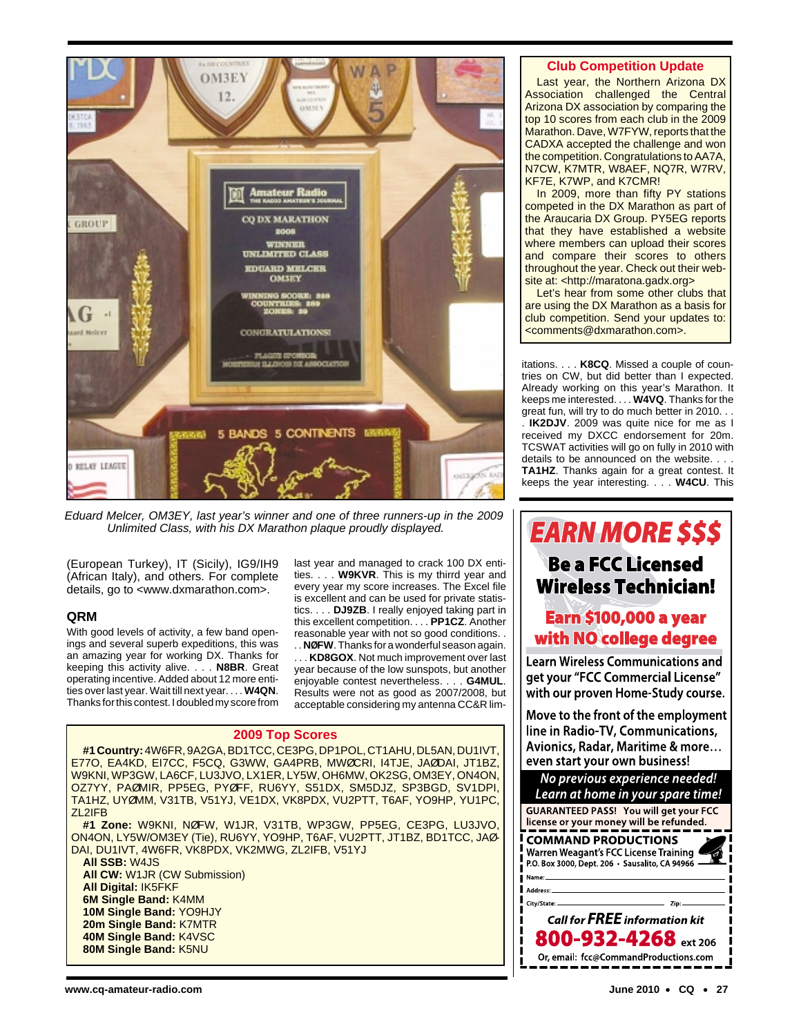

Eduard Melcer, OM3EY, last year's winner and one of three runners-up in the 2009 Unlimited Class, with his DX Marathon plaque proudly displayed.

(European Turkey), IT (Sicily), IG9/IH9 (African Italy), and others. For complete details, go to <www.dxmarathon.com>.

# **QRM**

With good levels of activity, a few band openings and several superb expeditions, this was an amazing year for working DX. Thanks for keeping this activity alive. . . . **N8BR**. Great operating incentive. Added about 12 more entities over last year. Wait till next year. . . . **W4QN**. Thanks for this contest. I doubled my score from

last year and managed to crack 100 DX entities. . . . **W9KVR**. This is my thirrd year and every year my score increases. The Excel file is excellent and can be used for private statistics. . . . **DJ9ZB**. I really enjoyed taking part in this excellent competition. . . . **PP1CZ**. Another reasonable year with not so good conditions. .

. . **NØFW**. Thanks for a wonderful season again. . . . **KD8GOX**. Not much improvement over last year because of the low sunspots, but another enjoyable contest nevertheless. . . . **G4MUL**. Results were not as good as 2007/2008, but acceptable considering my antenna CC&R lim-

## **2009 Top Scores**

**#1 Country:** 4W6FR, 9A2GA, BD1TCC, CE3PG, DP1POL, CT1AHU, DL5AN, DU1IVT, E77O, EA4KD, EI7CC, F5CQ, G3WW, GA4PRB, MWØCRI, I4TJE, JAØDAI, JT1BZ, W9KNI, WP3GW, LA6CF, LU3JVO, LX1ER, LY5W, OH6MW, OK2SG, OM3EY, ON4ON, OZ7YY, PAØMIR, PP5EG, PYØFF, RU6YY, S51DX, SM5DJZ, SP3BGD, SV1DPI, TA1HZ, UYØMM, V31TB, V51YJ, VE1DX, VK8PDX, VU2PTT, T6AF, YO9HP, YU1PC, ZL2IFB

**#1 Zone:** W9KNI, NØFW, W1JR, V31TB, WP3GW, PP5EG, CE3PG, LU3JVO, ON4ON, LY5W/OM3EY (Tie), RU6YY, YO9HP, T6AF, VU2PTT, JT1BZ, BD1TCC, JAØ-DAI, DU1IVT, 4W6FR, VK8PDX, VK2MWG, ZL2IFB, V51YJ

**All SSB:** W4JS **All CW:** W1JR (CW Submission) **All Digital:** IK5FKF **6M Single Band:** K4MM **10M Single Band:** YO9HJY **20m Single Band:** K7MTR **40M Single Band:** K4VSC **80M Single Band:** K5NU

## **Club Competition Update**

Last year, the Northern Arizona DX Association challenged the Central Arizona DX association by comparing the top 10 scores from each club in the 2009 Marathon. Dave, W7FYW, reports that the CADXA accepted the challenge and won the competition. Congratulations to AA7A, N7CW, K7MTR, W8AEF, NQ7R, W7RV, KF7E, K7WP, and K7CMR!

In 2009, more than fifty PY stations competed in the DX Marathon as part of the Araucaria DX Group. PY5EG reports that they have established a website where members can upload their scores and compare their scores to others throughout the year. Check out their website at: <http://maratona.gadx.org>

Let's hear from some other clubs that are using the DX Marathon as a basis for club competition. Send your updates to: <comments@dxmarathon.com>.

itations. . . . **K8CQ**. Missed a couple of countries on CW, but did better than I expected. Already working on this year's Marathon. It keeps me interested. . . . **W4VQ**. Thanks for the great fun, will try to do much better in 2010. . . . **IK2DJV**. 2009 was quite nice for me as I received my DXCC endorsement for 20m. TCSWAT activities will go on fully in 2010 with details to be announced on the website. . . . **TA1HZ**. Thanks again for a great contest. It keeps the year interesting. . . . **W4CU**. This

**EARN MORE \$\$\$ Be a FCC Licensed Wireless Technician!** 

# **Earn \$100,000 a year** with NO college degree

**Learn Wireless Communications and** get your "FCC Commercial License" with our proven Home-Study course.

Move to the front of the employment line in Radio-TV, Communications, Avionics, Radar, Maritime & more... even start your own business!

No previous experience needed! Learn at home in your spare time! **GUARANTEED PASS! You will get your FCC** license or your money will be refunded. **COMMAND PRODUCTIONS** Warren Weagant's FCC License Training P.O. Box 3000, Dept. 206 · Sausalito, CA 94966 Name: Address: City/State: Call for FREE information kit 800-932-4268 ext 206 Or, email: fcc@CommandProductions.com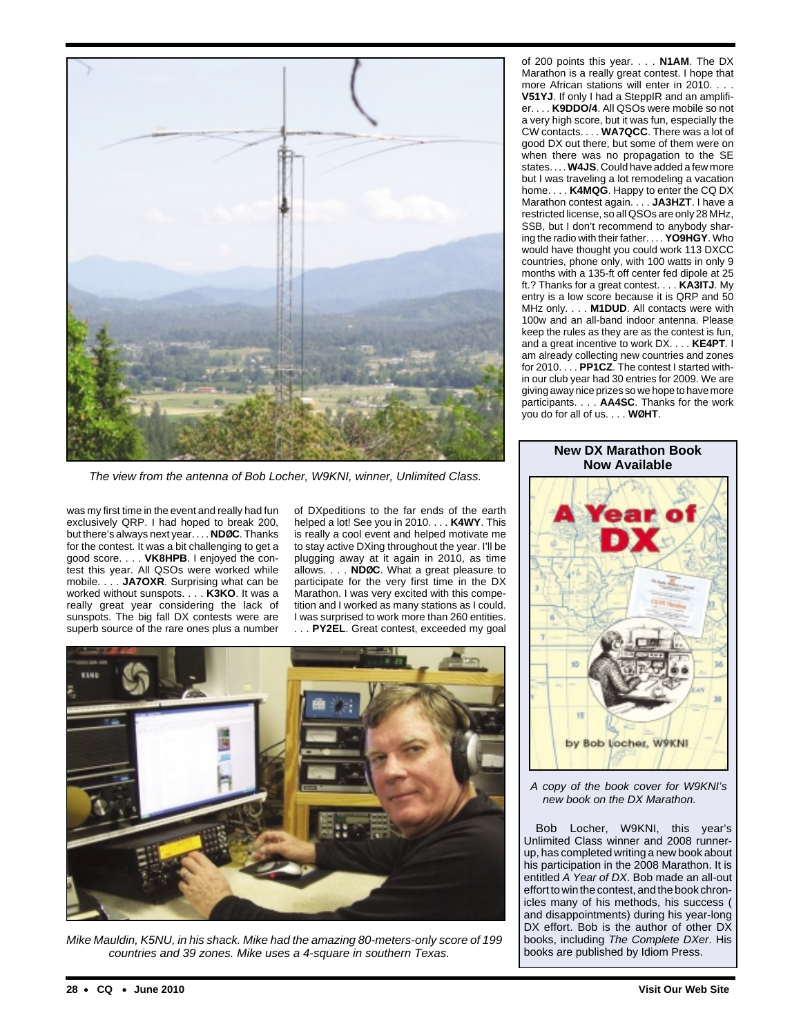

The view from the antenna of Bob Locher, W9KNI, winner, Unlimited Class.

was my first time in the event and really had fun exclusively QRP. I had hoped to break 200, but there's always next year. . . . **NDØC**. Thanks for the contest. It was a bit challenging to get a good score. . . . **VK8HPB**. I enjoyed the contest this year. All QSOs were worked while mobile. . . . **JA7OXR**. Surprising what can be worked without sunspots. . . . **K3KO**. It was a really great year considering the lack of sunspots. The big fall DX contests were are superb source of the rare ones plus a number

of DXpeditions to the far ends of the earth helped a lot! See you in 2010. . . . **K4WY**. This is really a cool event and helped motivate me to stay active DXing throughout the year. I'll be plugging away at it again in 2010, as time allows. . . . **NDØC**. What a great pleasure to participate for the very first time in the DX Marathon. I was very excited with this competition and I worked as many stations as I could. I was surprised to work more than 260 entities. PY2EL. Great contest, exceeded my goal



Mike Mauldin, K5NU, in his shack. Mike had the amazing 80-meters-only score of 199 countries and 39 zones. Mike uses a 4-square in southern Texas.

of 200 points this year. . . . **N1AM**. The DX Marathon is a really great contest. I hope that more African stations will enter in 2010. . . .

**V51YJ**. If only I had a SteppIR and an amplifier. . . . **K9DDO/4**. All QSOs were mobile so not a very high score, but it was fun, especially the CW contacts. . . . **WA7QCC**. There was a lot of good DX out there, but some of them were on when there was no propagation to the SE states. . . . **W4JS**. Could have added a few more but I was traveling a lot remodeling a vacation home. . . . **K4MQG**. Happy to enter the CQ DX Marathon contest again. . . . **JA3HZT**. I have a restricted license, so all QSOs are only 28 MHz, SSB, but I don't recommend to anybody sharing the radio with their father. . . . **YO9HGY**. Who would have thought you could work 113 DXCC countries, phone only, with 100 watts in only 9 months with a 135-ft off center fed dipole at 25 ft.? Thanks for a great contest. . . . **KA3ITJ**. My entry is a low score because it is QRP and 50 MHz only. . . . **M1DUD**. All contacts were with 100w and an all-band indoor antenna. Please keep the rules as they are as the contest is fun, and a great incentive to work DX. . . . **KE4PT**. I am already collecting new countries and zones for 2010. . . . **PP1CZ**. The contest I started within our club year had 30 entries for 2009. We are giving away nice prizes so we hope to have more participants. . . . **AA4SC**. Thanks for the work you do for all of us. . . . **WØHT**.

**New DX Marathon Book Now Available**



A copy of the book cover for W9KNI's new book on the DX Marathon.

Bob Locher, W9KNI, this year's Unlimited Class winner and 2008 runnerup, has completed writing a new book about his participation in the 2008 Marathon. It is entitled A Year of DX. Bob made an all-out effort to win the contest, and the book chronicles many of his methods, his success ( and disappointments) during his year-long DX effort. Bob is the author of other DX books, including The Complete DXer. His books are published by Idiom Press.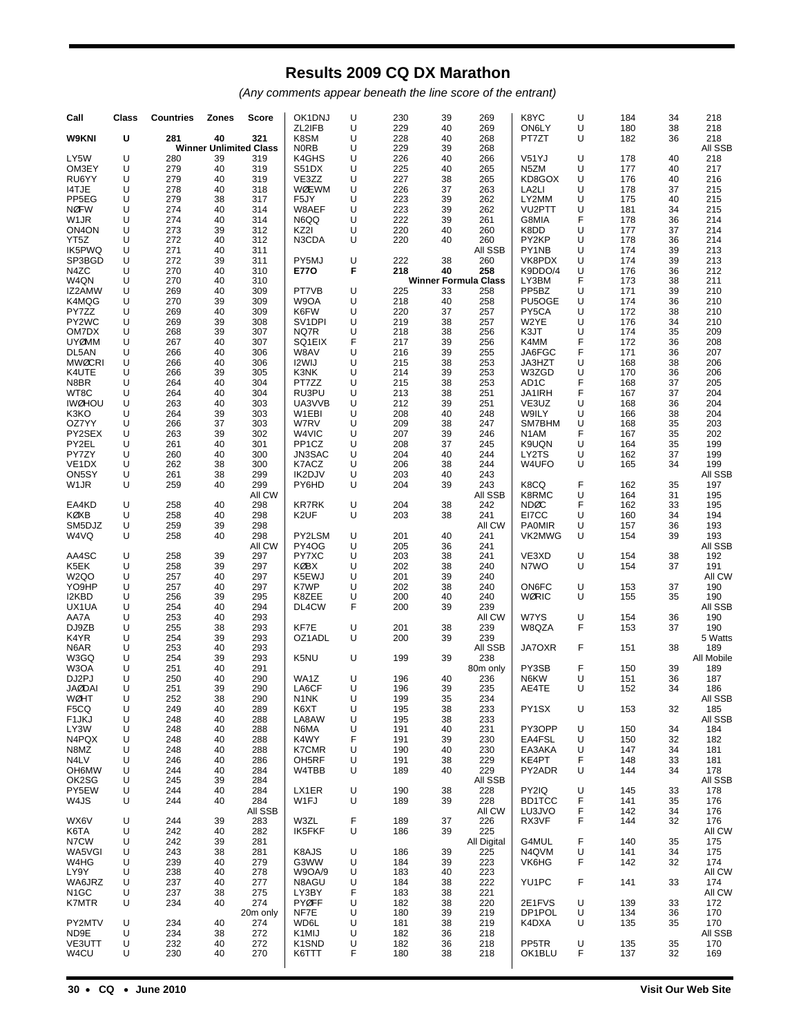# **Results 2009 CQ DX Marathon**

(Any comments appear beneath the line score of the entrant)

| Call                        | Class  | <b>Countries</b> | <b>Zones</b> | Score                         | OK1DNJ                                               | U      | 230        | 39       | 269                         | K8YC                                                  | U      | 184        | 34       | 218            |
|-----------------------------|--------|------------------|--------------|-------------------------------|------------------------------------------------------|--------|------------|----------|-----------------------------|-------------------------------------------------------|--------|------------|----------|----------------|
| W9KNI                       | U      | 281              | 40           | 321                           | ZL2IFB<br>K8SM                                       | U<br>U | 229<br>228 | 40<br>40 | 269<br>268                  | ON6LY<br>PT7ZT                                        | U<br>U | 180<br>182 | 38<br>36 | 218<br>218     |
|                             |        |                  |              | <b>Winner Unlimited Class</b> | <b>NORB</b>                                          | U      | 229        | 39       | 268                         |                                                       |        |            |          | All SSB        |
| LY5W                        | U      | 280              | 39           | 319                           | K4GHS                                                | U      | 226        | 40       | 266                         | V51YJ                                                 | U      | 178        | 40       | 218            |
| OM3EY                       | U      | 279              | 40           | 319                           | S51DX                                                | U      | 225        | 40       | 265                         | N <sub>5</sub> ZM                                     | U      | 177        | 40       | 217            |
| RU6YY                       | U<br>U | 279              | 40<br>40     | 319                           | VE3ZZ<br><b>WØEWM</b>                                | U<br>U | 227<br>226 | 38       | 265                         | KD8GOX                                                | U<br>U | 176        | 40       | 216            |
| 14TJE<br>PP <sub>5EG</sub>  | U      | 278<br>279       | 38           | 318<br>317                    | F5JY                                                 | U      | 223        | 37<br>39 | 263<br>262                  | LA2LI<br>LY2MM                                        | U      | 178<br>175 | 37<br>40 | 215<br>215     |
| <b>NØFW</b>                 | U      | 274              | 40           | 314                           | W8AEF                                                | U      | 223        | 39       | 262                         | VU <sub>2</sub> PTT                                   | U      | 181        | 34       | 215            |
| W <sub>1</sub> JR           | U      | 274              | 40           | 314                           | N6QQ                                                 | U      | 222        | 39       | 261                         | G8MIA                                                 | F      | 178        | 36       | 214            |
| ON <sub>4</sub> ON          | U      | 273              | 39           | 312                           | KZ2I                                                 | U      | 220        | 40       | 260                         | K8DD                                                  | U      | 177        | 37       | 214            |
| YT5Z<br>IK5PWQ              | U<br>U | 272<br>271       | 40<br>40     | 312<br>311                    | N3CDA                                                | U      | 220        | 40       | 260<br>All SSB              | PY2KP<br>PY1NB                                        | U<br>U | 178<br>174 | 36<br>39 | 214<br>213     |
| SP3BGD                      | U      | 272              | 39           | 311                           | PY5MJ                                                | U      | 222        | 38       | 260                         | VK8PDX                                                | U      | 174        | 39       | 213            |
| N4ZC                        | U      | 270              | 40           | 310                           | E770                                                 | F      | 218        | 40       | 258                         | K9DDO/4                                               | U      | 176        | 36       | 212            |
| W4QN                        | U      | 270              | 40           | 310                           |                                                      |        |            |          | <b>Winner Formula Class</b> | LY3BM                                                 | F      | 173        | 38       | 211            |
| IZ2AMW<br>K4MQG             | U<br>U | 269<br>270       | 40<br>39     | 309<br>309                    | PT7VB<br>W9OA                                        | U<br>U | 225<br>218 | 33<br>40 | 258<br>258                  | PP <sub>5</sub> BZ<br>PU <sub>5</sub> O <sub>GE</sub> | U<br>U | 171<br>174 | 39<br>36 | 210<br>210     |
| PY7ZZ                       | U      | 269              | 40           | 309                           | K6FW                                                 | U      | 220        | 37       | 257                         | PY5CA                                                 | U      | 172        | 38       | 210            |
| PY2WC                       | U      | 269              | 39           | 308                           | SV <sub>1</sub> DPI                                  | U      | 219        | 38       | 257                         | W2YE                                                  | U      | 176        | 34       | 210            |
| OM7DX                       | U      | 268              | 39           | 307                           | NQ7R                                                 | U      | 218        | 38       | 256                         | K3JT                                                  | U      | 174        | 35       | 209            |
| <b>UYØMM</b>                | U<br>U | 267              | 40<br>40     | 307<br>306                    | SQ1EIX<br>W8AV                                       | F<br>U | 217<br>216 | 39       | 256                         | K4MM<br>JA6FGC                                        | F<br>F | 172        | 36       | 208            |
| DL5AN<br><b>MWØCRI</b>      | U      | 266<br>266       | 40           | 306                           | I2WIJ                                                | U      | 215        | 39<br>38 | 255<br>253                  | JA3HZT                                                | U      | 171<br>168 | 36<br>38 | 207<br>206     |
| K4UTE                       | U      | 266              | 39           | 305                           | K3NK                                                 | U      | 214        | 39       | 253                         | W3ZGD                                                 | U      | 170        | 36       | 206            |
| N8BR                        | U      | 264              | 40           | 304                           | PT7ZZ                                                | U      | 215        | 38       | 253                         | AD <sub>1</sub> C                                     | F      | 168        | 37       | 205            |
| WT8C                        | U      | 264              | 40           | 304                           | RU3PU                                                | U      | 213        | 38       | 251                         | JA1IRH                                                | F      | 167        | 37       | 204            |
| <b>IWØHOU</b><br>K3KO       | U<br>U | 263<br>264       | 40<br>39     | 303<br>303                    | UA3VVB<br>W1EBI                                      | U<br>U | 212<br>208 | 39<br>40 | 251<br>248                  | VE3UZ<br>W9ILY                                        | U<br>U | 168<br>166 | 36<br>38 | 204<br>204     |
| OZ7YY                       | U      | 266              | 37           | 303                           | W7RV                                                 | U      | 209        | 38       | 247                         | SM7BHM                                                | U      | 168        | 35       | 203            |
| PY2SEX                      | U      | 263              | 39           | 302                           | W4VIC                                                | U      | 207        | 39       | 246                         | N <sub>1</sub> AM                                     | F      | 167        | 35       | 202            |
| PY2EL                       | U      | 261              | 40           | 301                           | PP <sub>1</sub> CZ                                   | U      | 208        | 37       | 245                         | K9UQN                                                 | U      | 164        | 35       | 199            |
| PY7ZY<br>VE <sub>1</sub> DX | U<br>U | 260<br>262       | 40<br>38     | 300<br>300                    | JN3SAC<br>K7ACZ                                      | U<br>U | 204<br>206 | 40<br>38 | 244<br>244                  | LY2TS<br>W4UFO                                        | U<br>U | 162<br>165 | 37<br>34 | 199<br>199     |
| ON5SY                       | U      | 261              | 38           | 299                           | IK2DJV                                               | U      | 203        | 40       | 243                         |                                                       |        |            |          | All SSB        |
| W <sub>1</sub> JR           | U      | 259              | 40           | 299                           | PY6HD                                                | U      | 204        | 39       | 243                         | K8CQ                                                  | F      | 162        | 35       | 197            |
|                             |        |                  |              | All CW                        |                                                      |        |            |          | All SSB                     | K8RMC                                                 | U      | 164        | 31       | 195            |
| EA4KD                       | U      | 258              | 40           | 298                           | <b>KR7RK</b>                                         | U      | 204        | 38       | 242                         | <b>NDØC</b>                                           | F      | 162        | 33       | 195            |
| KØXB<br>SM5DJZ              | U<br>U | 258<br>259       | 40<br>39     | 298<br>298                    | K <sub>2</sub> UF                                    | U      | 203        | 38       | 241<br>All CW               | EI7CC<br><b>PA0MIR</b>                                | U<br>U | 160<br>157 | 34<br>36 | 194<br>193     |
| W4VQ                        | U      | 258              | 40           | 298                           | PY2LSM                                               | U      | 201        | 40       | 241                         | VK2MWG                                                | U      | 154        | 39       | 193            |
|                             |        |                  |              | All CW                        | PY4OG                                                | U      | 205        | 36       | 241                         |                                                       |        |            |          | All SSB        |
| AA4SC                       | U      | 258              | 39           | 297                           | PY7XC                                                | U      | 203        | 38       | 241                         | VE3XD                                                 | U      | 154        | 38       | 192            |
| K5EK<br>W <sub>2</sub> QO   | U<br>U | 258<br>257       | 39<br>40     | 297<br>297                    | <b>KØBX</b><br>K5EWJ                                 | U<br>U | 202<br>201 | 38<br>39 | 240<br>240                  | N7WO                                                  | U      | 154        | 37       | 191<br>All CW  |
| YO9HP                       | U      | 257              | 40           | 297                           | K7WP                                                 | U      | 202        | 38       | 240                         | ON6FC                                                 | U      | 153        | 37       | 190            |
| I2KBD                       | U      | 256              | 39           | 295                           | K8ZEE                                                | U      | 200        | 40       | 240                         | <b>WØRIC</b>                                          | U      | 155        | 35       | 190            |
| UX1UA                       | U      | 254              | 40           | 294                           | DL4CW                                                | F      | 200        | 39       | 239                         |                                                       |        |            |          | All SSB        |
| AA7A<br>DJ9ZB               | U<br>U | 253<br>255       | 40<br>38     | 293<br>293                    | KF7E                                                 | U      | 201        | 38       | All CW<br>239               | W7YS<br>W8QZA                                         | U<br>F | 154<br>153 | 36<br>37 | 190<br>190     |
| K4YR                        | U      | 254              | 39           | 293                           | OZ1ADL                                               | U      | 200        | 39       | 239                         |                                                       |        |            |          | 5 Watts        |
| N6AR                        | U      | 253              | 40           | 293                           |                                                      |        |            |          | All SSB                     | JA7OXR                                                | F      | 151        | 38       | 189            |
| W3GQ                        | U      | 254              | 39           | 293                           | K5NU                                                 | U      | 199        | 39       | 238                         |                                                       |        |            |          | All Mobile     |
| W3OA<br>DJ2PJ               | U<br>U | 251<br>250       | 40<br>40     | 291<br>290                    | WA1Z                                                 | U      | 196        | 40       | 80m only<br>236             | PY3SB<br>N6KW                                         | F<br>U | 150<br>151 | 39<br>36 | 189<br>187     |
| <b>JAØDAI</b>               | U      | 251              | 39           | 290                           | LA6CF                                                | U      | 196        | 39       | 235                         | AE4TE                                                 | U      | 152        | 34       | 186            |
| WØHT                        | U      | 252              | 38           | 290                           | N1NK                                                 | U      | 199        | 35       | 234                         |                                                       |        |            |          | AII SSB        |
| F5CQ                        | U      | 249              | 40           | 289                           | K6XT                                                 | U      | 195        | 38       | 233                         | PY1SX                                                 | U      | 153        | 32       | 185            |
| F <sub>1</sub> JKJ<br>LY3W  | U<br>U | 248<br>248       | 40<br>40     | 288<br>288                    | LA8AW<br>N6MA                                        | U<br>U | 195<br>191 | 38<br>40 | 233<br>231                  | PY3OPP                                                | U      | 150        | 34       | All SSB<br>184 |
| N4PQX                       | U      | 248              | 40           | 288                           | K4WY                                                 | F      | 191        | 39       | 230                         | EA4FSL                                                | U      | 150        | 32       | 182            |
| N8MZ                        | U      | 248              | 40           | 288                           | <b>K7CMR</b>                                         | U      | 190        | 40       | 230                         | EA3AKA                                                | U      | 147        | 34       | 181            |
| N4LV                        | U      | 246              | 40           | 286                           | OH <sub>5</sub> RF                                   | U      | 191        | 38       | 229                         | KE4PT                                                 | F      | 148        | 33       | 181            |
| OH6MW<br>OK2SG              | U<br>U | 244<br>245       | 40<br>39     | 284<br>284                    | W4TBB                                                | U      | 189        | 40       | 229<br>All SSB              | PY2ADR                                                | U      | 144        | 34       | 178<br>All SSB |
| PY5EW                       | U      | 244              | 40           | 284                           | LX1ER                                                | U      | 190        | 38       | 228                         | PY2IQ                                                 | U      | 145        | 33       | 178            |
| W4JS                        | U      | 244              | 40           | 284                           | W1FJ                                                 | U      | 189        | 39       | 228                         | BD1TCC                                                | F      | 141        | 35       | 176            |
|                             |        |                  |              | AII SSB                       |                                                      |        |            |          | All CW                      | LU3JVO                                                | F      | 142        | 34       | 176            |
| WX6V                        | U      | 244              | 39           | 283                           | W3ZL                                                 | F      | 189        | 37       | 226                         | RX3VF                                                 | F      | 144        | 32       | 176            |
| K6TA<br>N7CW                | U<br>U | 242<br>242       | 40<br>39     | 282<br>281                    | <b>IK5FKF</b>                                        | U      | 186        | 39       | 225<br>All Digital          | G4MUL                                                 | F      | 140        | 35       | All CW<br>175  |
| WA5VGI                      | U      | 243              | 38           | 281                           | K8AJS                                                | U      | 186        | 39       | 225                         | N4QVM                                                 | U      | 141        | 34       | 175            |
| W4HG                        | U      | 239              | 40           | 279                           | G3WW                                                 | U      | 184        | 39       | 223                         | VK6HG                                                 | F      | 142        | 32       | 174            |
| LY9Y                        | U      | 238              | 40           | 278                           | <b>W9OA/9</b>                                        | U      | 183        | 40       | 223                         |                                                       |        |            |          | All CW         |
| WA6JRZ<br>N <sub>1</sub> GC | U<br>U | 237<br>237       | 40<br>38     | 277<br>275                    | N8AGU<br>LY3BY                                       | U<br>F | 184<br>183 | 38<br>38 | 222<br>221                  | YU1PC                                                 | F      | 141        | 33       | 174<br>All CW  |
| K7MTR                       | U      | 234              | 40           | 274                           | <b>PYØFF</b>                                         | U      | 182        | 38       | 220                         | 2E1FVS                                                | U      | 139        | 33       | 172            |
|                             |        |                  |              | 20m only                      | NF7E                                                 | U      | 180        | 39       | 219                         | DP1POL                                                | U      | 134        | 36       | 170            |
| PY2MTV                      | U      | 234              | 40           | 274                           | WD6L                                                 | U      | 181        | 38       | 219                         | K4DXA                                                 | U      | 135        | 35       | 170            |
| ND9E<br>VE3UTT              | U<br>U | 234<br>232       | 38<br>40     | 272<br>272                    | K <sub>1</sub> MIJ<br>K <sub>1</sub> SN <sub>D</sub> | U<br>U | 182<br>182 | 36<br>36 | 218<br>218                  | PP5TR                                                 | U      | 135        | 35       | All SSB<br>170 |
| W4CU                        | U      | 230              | 40           | 270                           | K6TTT                                                | F      | 180        | 38       | 218                         | OK1BLU                                                | F      | 137        | 32       | 169            |
|                             |        |                  |              |                               |                                                      |        |            |          |                             |                                                       |        |            |          |                |